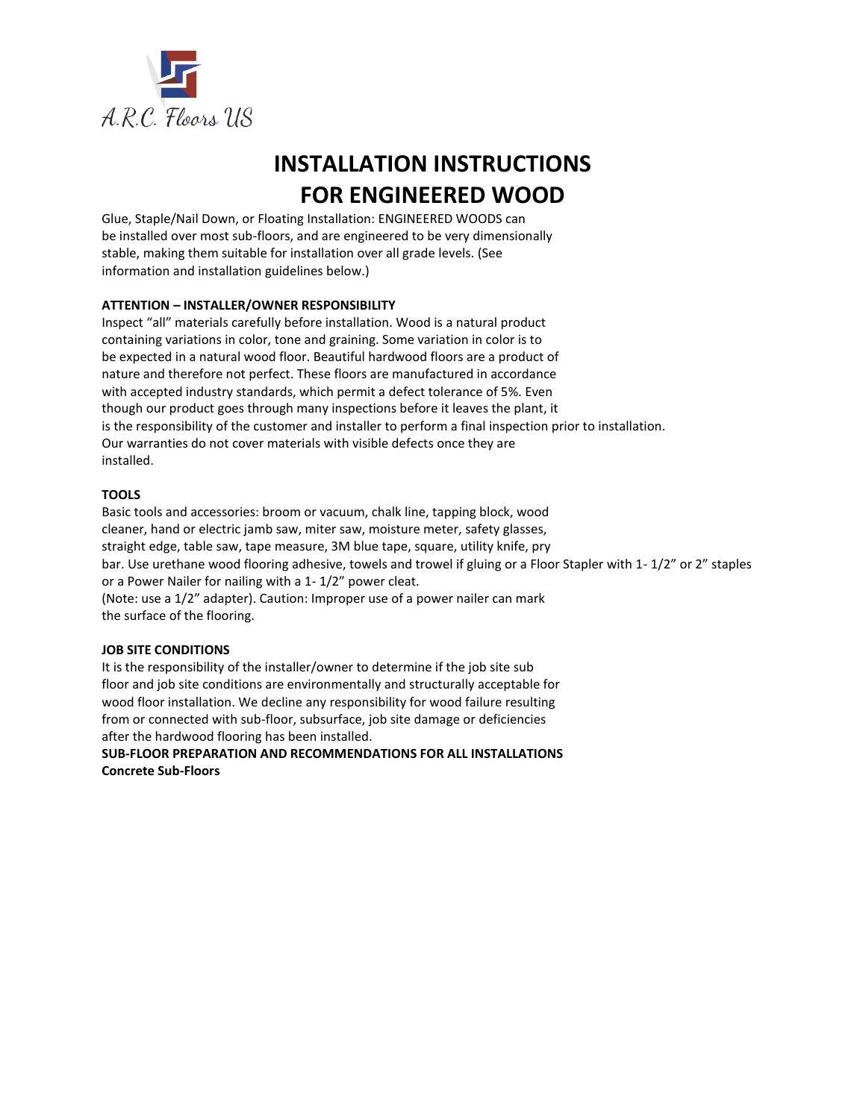

# **INSTALLATION INSTRUCTIONS FOR ENGINEERED WOOD**

Glue, Staple/Nail Down, or Floating Installation: ENGINEERED WOODS can be installed over most sub-floors, and are engineered to be very dimensionally stable, making them suitable for installation over all grade levels. (See information and installation guidelines below.)

# **ATTENTION – INSTALLER/OWNER RESPONSIBILITY**

Inspect "all" materials carefully before installation. Wood is a natural product containing variations in color, tone and graining. Some variation in color is to be expected in a natural wood floor. Beautiful hardwood floors are a product of nature and therefore not perfect. These floors are manufactured in accordance with accepted industry standards, which permit a defect tolerance of 5%. Even though our product goes through many inspections before it leaves the plant, it is the responsibility of the customer and installer to perform a final inspection prior to installation. Our warranties do not cover materials with visible defects once they are installed.

# **TOOLS**

Basic tools and accessories: broom or vacuum, chalk line, tapping block, wood cleaner, hand or electric jamb saw, miter saw, moisture meter, safety glasses, straight edge, table saw, tape measure, 3M blue tape, square, utility knife, pry bar. Use urethane wood flooring adhesive, towels and trowel if gluing or a Floor Stapler with 1- 1/2" or 2" staples or a Power Nailer for nailing with a 1- 1/2" power cleat. (Note: use a 1/2" adapter). Caution: Improper use of a power nailer can mark the surface of the flooring.

## **JOB SITE CONDITIONS**

It is the responsibility of the installer/owner to determine if the job site sub floor and job site conditions are environmentally and structurally acceptable for wood floor installation. We decline any responsibility for wood failure resulting from or connected with sub-floor, subsurface, job site damage or deficiencies after the hardwood flooring has been installed.

**SUB-FLOOR PREPARATION AND RECOMMENDATIONS FOR ALL INSTALLATIONS Concrete Sub-Floors**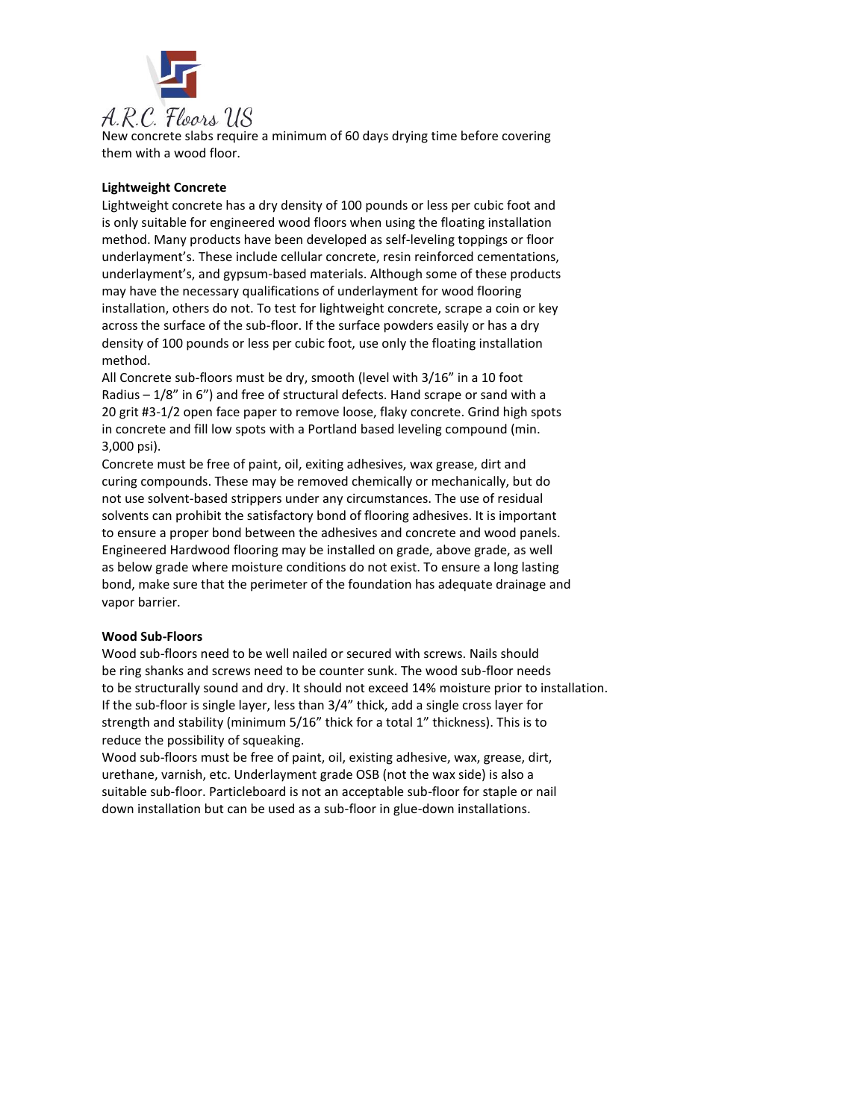

New concrete slabs require a minimum of 60 days drying time before covering them with a wood floor.

# **Lightweight Concrete**

Lightweight concrete has a dry density of 100 pounds or less per cubic foot and is only suitable for engineered wood floors when using the floating installation method. Many products have been developed as self-leveling toppings or floor underlayment's. These include cellular concrete, resin reinforced cementations, underlayment's, and gypsum-based materials. Although some of these products may have the necessary qualifications of underlayment for wood flooring installation, others do not. To test for lightweight concrete, scrape a coin or key across the surface of the sub-floor. If the surface powders easily or has a dry density of 100 pounds or less per cubic foot, use only the floating installation method.

All Concrete sub-floors must be dry, smooth (level with 3/16" in a 10 foot Radius – 1/8" in 6") and free of structural defects. Hand scrape or sand with a 20 grit #3-1/2 open face paper to remove loose, flaky concrete. Grind high spots in concrete and fill low spots with a Portland based leveling compound (min. 3,000 psi).

Concrete must be free of paint, oil, exiting adhesives, wax grease, dirt and curing compounds. These may be removed chemically or mechanically, but do not use solvent-based strippers under any circumstances. The use of residual solvents can prohibit the satisfactory bond of flooring adhesives. It is important to ensure a proper bond between the adhesives and concrete and wood panels. Engineered Hardwood flooring may be installed on grade, above grade, as well as below grade where moisture conditions do not exist. To ensure a long lasting bond, make sure that the perimeter of the foundation has adequate drainage and vapor barrier.

## **Wood Sub-Floors**

Wood sub-floors need to be well nailed or secured with screws. Nails should be ring shanks and screws need to be counter sunk. The wood sub-floor needs to be structurally sound and dry. It should not exceed 14% moisture prior to installation. If the sub-floor is single layer, less than 3/4" thick, add a single cross layer for strength and stability (minimum 5/16" thick for a total 1" thickness). This is to reduce the possibility of squeaking.

Wood sub-floors must be free of paint, oil, existing adhesive, wax, grease, dirt, urethane, varnish, etc. Underlayment grade OSB (not the wax side) is also a suitable sub-floor. Particleboard is not an acceptable sub-floor for staple or nail down installation but can be used as a sub-floor in glue-down installations.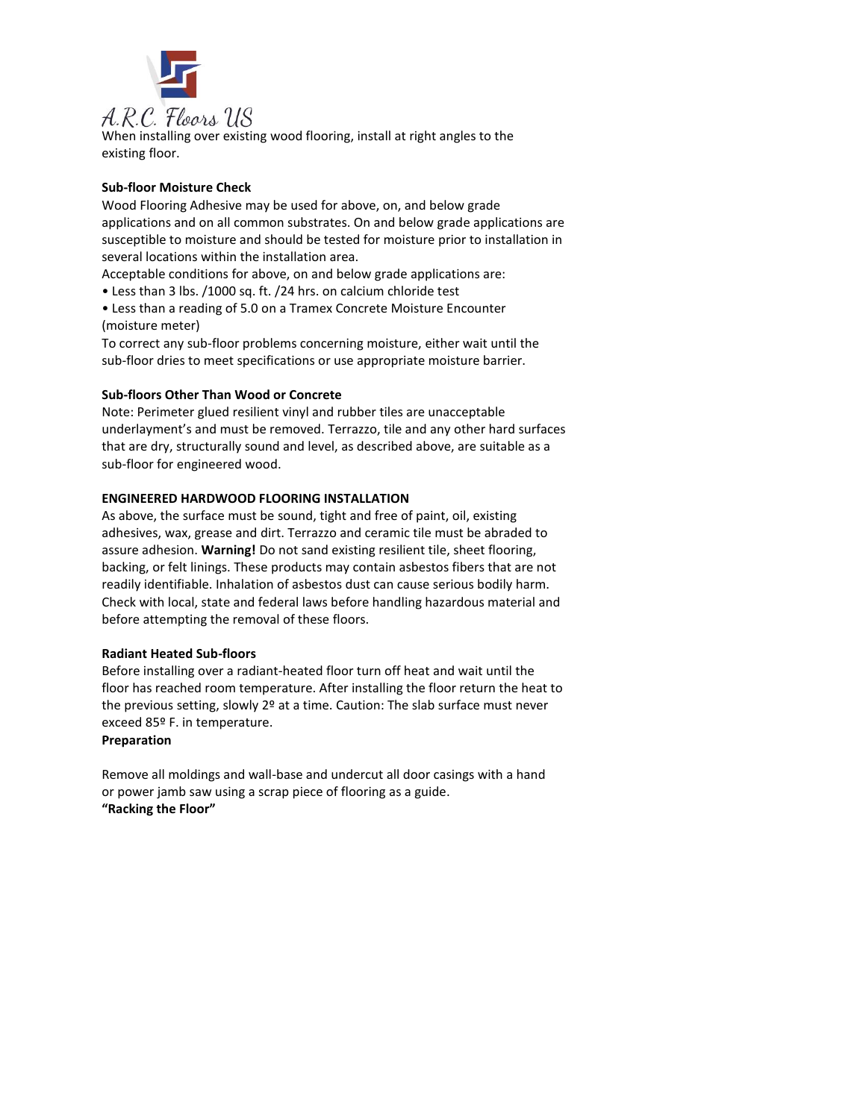

When installing over existing wood flooring, install at right angles to the existing floor.

# **Sub-floor Moisture Check**

Wood Flooring Adhesive may be used for above, on, and below grade applications and on all common substrates. On and below grade applications are susceptible to moisture and should be tested for moisture prior to installation in several locations within the installation area.

Acceptable conditions for above, on and below grade applications are:

- Less than 3 lbs. /1000 sq. ft. /24 hrs. on calcium chloride test
- Less than a reading of 5.0 on a Tramex Concrete Moisture Encounter (moisture meter)

To correct any sub-floor problems concerning moisture, either wait until the sub-floor dries to meet specifications or use appropriate moisture barrier.

# **Sub-floors Other Than Wood or Concrete**

Note: Perimeter glued resilient vinyl and rubber tiles are unacceptable underlayment's and must be removed. Terrazzo, tile and any other hard surfaces that are dry, structurally sound and level, as described above, are suitable as a sub-floor for engineered wood.

# **ENGINEERED HARDWOOD FLOORING INSTALLATION**

As above, the surface must be sound, tight and free of paint, oil, existing adhesives, wax, grease and dirt. Terrazzo and ceramic tile must be abraded to assure adhesion. **Warning!** Do not sand existing resilient tile, sheet flooring, backing, or felt linings. These products may contain asbestos fibers that are not readily identifiable. Inhalation of asbestos dust can cause serious bodily harm. Check with local, state and federal laws before handling hazardous material and before attempting the removal of these floors.

## **Radiant Heated Sub-floors**

Before installing over a radiant-heated floor turn off heat and wait until the floor has reached room temperature. After installing the floor return the heat to the previous setting, slowly 2º at a time. Caution: The slab surface must never exceed 85º F. in temperature.

## **Preparation**

Remove all moldings and wall-base and undercut all door casings with a hand or power jamb saw using a scrap piece of flooring as a guide. **"Racking the Floor"**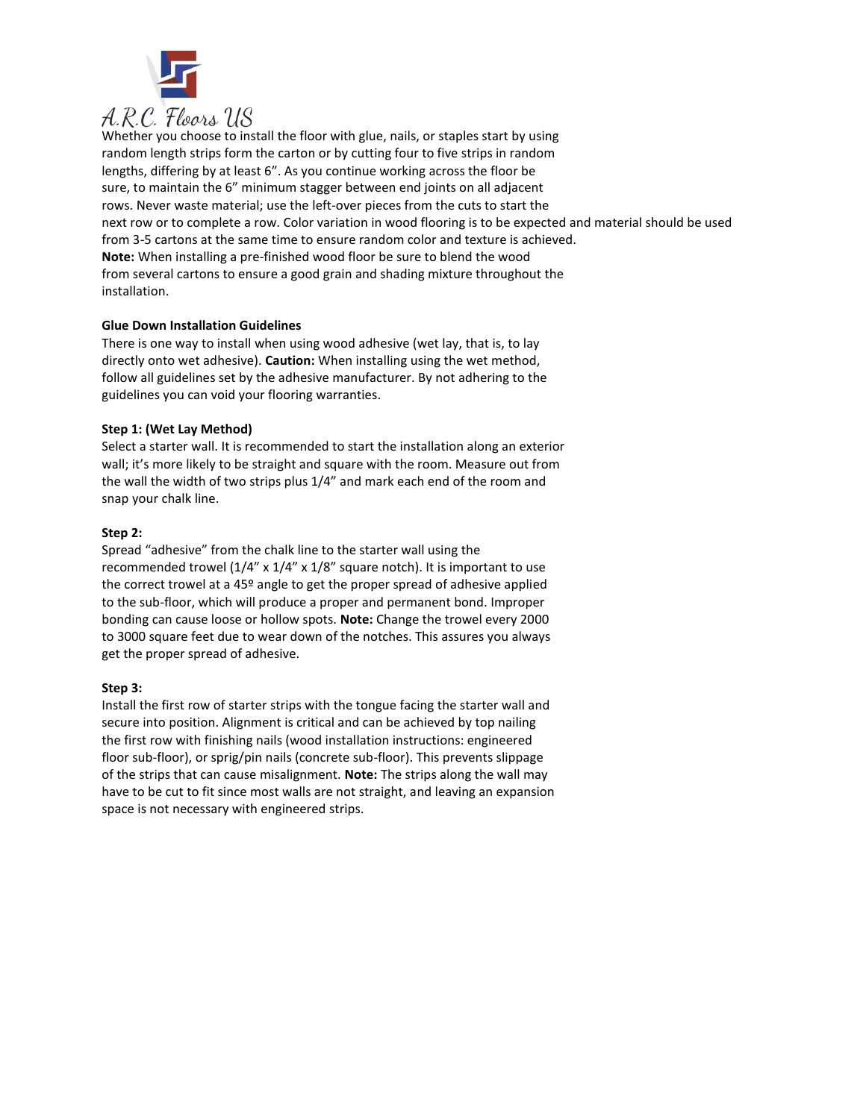

Whether you choose to install the floor with glue, nails, or staples start by using random length strips form the carton or by cutting four to five strips in random lengths, differing by at least 6". As you continue working across the floor be sure, to maintain the 6" minimum stagger between end joints on all adjacent rows. Never waste material; use the left-over pieces from the cuts to start the next row or to complete a row. Color variation in wood flooring is to be expected and material should be used from 3-5 cartons at the same time to ensure random color and texture is achieved. **Note:** When installing a pre-finished wood floor be sure to blend the wood from several cartons to ensure a good grain and shading mixture throughout the installation.

# **Glue Down Installation Guidelines**

There is one way to install when using wood adhesive (wet lay, that is, to lay directly onto wet adhesive). **Caution:** When installing using the wet method, follow all guidelines set by the adhesive manufacturer. By not adhering to the guidelines you can void your flooring warranties.

# **Step 1: (Wet Lay Method)**

Select a starter wall. It is recommended to start the installation along an exterior wall; it's more likely to be straight and square with the room. Measure out from the wall the width of two strips plus 1/4" and mark each end of the room and snap your chalk line.

# **Step 2:**

Spread "adhesive" from the chalk line to the starter wall using the recommended trowel (1/4" x 1/4" x 1/8" square notch). It is important to use the correct trowel at a 45º angle to get the proper spread of adhesive applied to the sub-floor, which will produce a proper and permanent bond. Improper bonding can cause loose or hollow spots. **Note:** Change the trowel every 2000 to 3000 square feet due to wear down of the notches. This assures you always get the proper spread of adhesive.

## **Step 3:**

Install the first row of starter strips with the tongue facing the starter wall and secure into position. Alignment is critical and can be achieved by top nailing the first row with finishing nails (wood installation instructions: engineered floor sub-floor), or sprig/pin nails (concrete sub-floor). This prevents slippage of the strips that can cause misalignment. **Note:** The strips along the wall may have to be cut to fit since most walls are not straight, and leaving an expansion space is not necessary with engineered strips.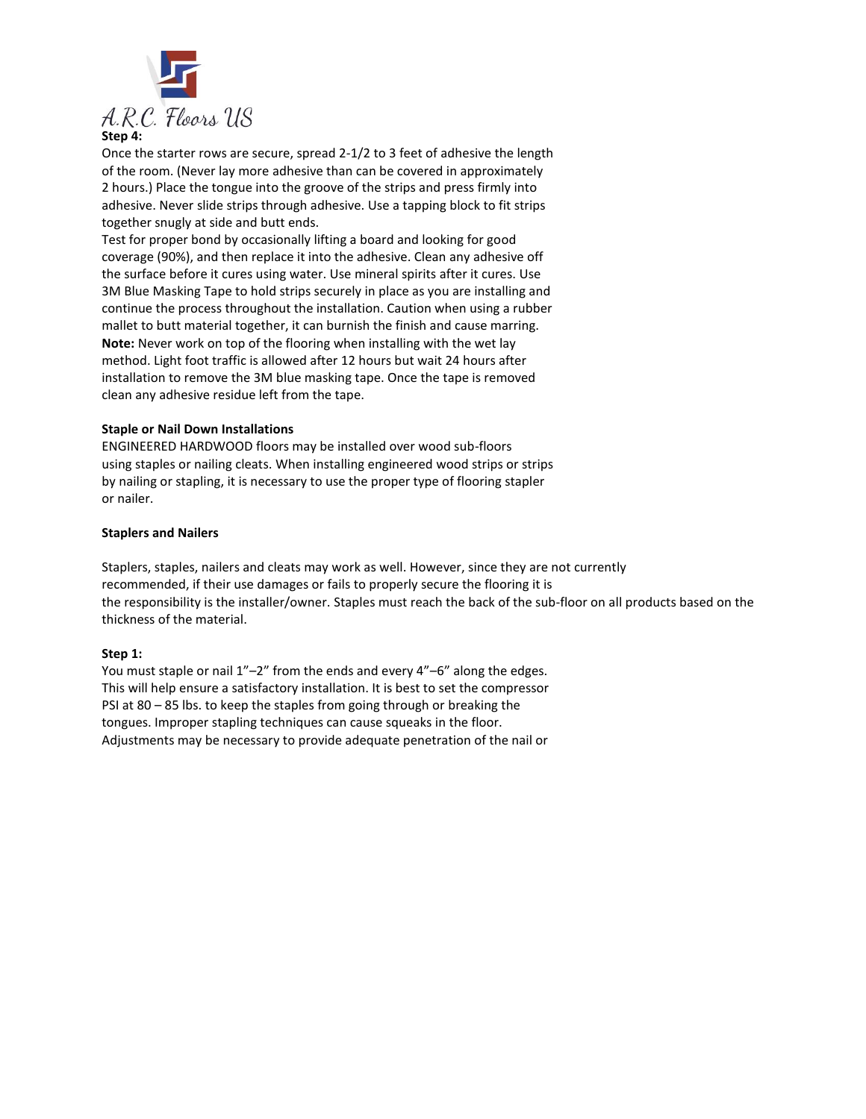

Once the starter rows are secure, spread 2-1/2 to 3 feet of adhesive the length of the room. (Never lay more adhesive than can be covered in approximately 2 hours.) Place the tongue into the groove of the strips and press firmly into adhesive. Never slide strips through adhesive. Use a tapping block to fit strips together snugly at side and butt ends.

Test for proper bond by occasionally lifting a board and looking for good coverage (90%), and then replace it into the adhesive. Clean any adhesive off the surface before it cures using water. Use mineral spirits after it cures. Use 3M Blue Masking Tape to hold strips securely in place as you are installing and continue the process throughout the installation. Caution when using a rubber mallet to butt material together, it can burnish the finish and cause marring. **Note:** Never work on top of the flooring when installing with the wet lay method. Light foot traffic is allowed after 12 hours but wait 24 hours after installation to remove the 3M blue masking tape. Once the tape is removed clean any adhesive residue left from the tape.

# **Staple or Nail Down Installations**

ENGINEERED HARDWOOD floors may be installed over wood sub-floors using staples or nailing cleats. When installing engineered wood strips or strips by nailing or stapling, it is necessary to use the proper type of flooring stapler or nailer.

# **Staplers and Nailers**

Staplers, staples, nailers and cleats may work as well. However, since they are not currently recommended, if their use damages or fails to properly secure the flooring it is the responsibility is the installer/owner. Staples must reach the back of the sub-floor on all products based on the thickness of the material.

## **Step 1:**

You must staple or nail 1"–2" from the ends and every 4"–6" along the edges. This will help ensure a satisfactory installation. It is best to set the compressor PSI at 80 – 85 lbs. to keep the staples from going through or breaking the tongues. Improper stapling techniques can cause squeaks in the floor. Adjustments may be necessary to provide adequate penetration of the nail or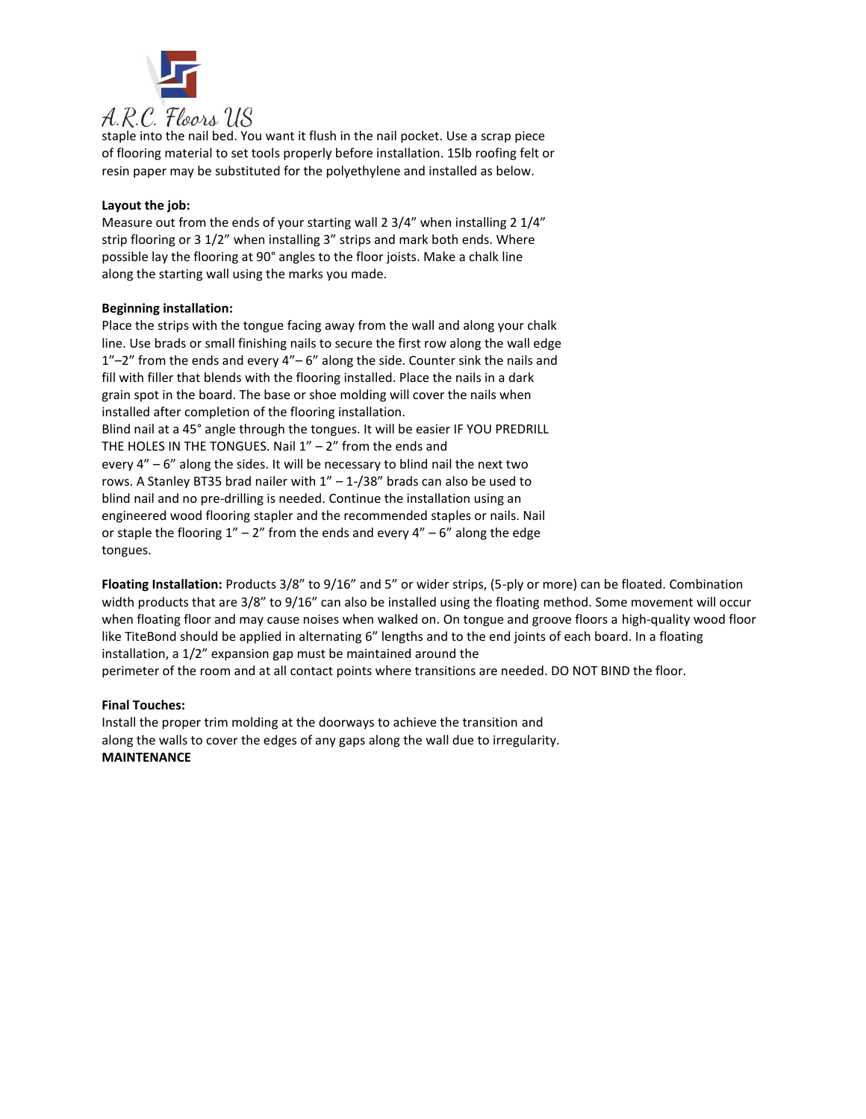

staple into the nail bed. You want it flush in the nail pocket. Use a scrap piece of flooring material to set tools properly before installation. 15lb roofing felt or resin paper may be substituted for the polyethylene and installed as below.

# **Layout the job:**

Measure out from the ends of your starting wall 2 3/4" when installing 2 1/4" strip flooring or 3 1/2" when installing 3" strips and mark both ends. Where possible lay the flooring at 90° angles to the floor joists. Make a chalk line along the starting wall using the marks you made.

## **Beginning installation:**

Place the strips with the tongue facing away from the wall and along your chalk line. Use brads or small finishing nails to secure the first row along the wall edge  $1"$ –2" from the ends and every  $4"$ –6" along the side. Counter sink the nails and fill with filler that blends with the flooring installed. Place the nails in a dark grain spot in the board. The base or shoe molding will cover the nails when installed after completion of the flooring installation. Blind nail at a 45° angle through the tongues. It will be easier IF YOU PREDRILL THE HOLES IN THE TONGUES. Nail  $1'' - 2''$  from the ends and every 4" – 6" along the sides. It will be necessary to blind nail the next two rows. A Stanley BT35 brad nailer with  $1'' - 1$ -/38" brads can also be used to blind nail and no pre-drilling is needed. Continue the installation using an engineered wood flooring stapler and the recommended staples or nails. Nail or staple the flooring  $1'' - 2''$  from the ends and every  $4'' - 6''$  along the edge tongues.

**Floating Installation:** Products 3/8" to 9/16" and 5" or wider strips, (5-ply or more) can be floated. Combination width products that are 3/8" to 9/16" can also be installed using the floating method. Some movement will occur when floating floor and may cause noises when walked on. On tongue and groove floors a high-quality wood floor like TiteBond should be applied in alternating 6" lengths and to the end joints of each board. In a floating installation, a 1/2" expansion gap must be maintained around the

perimeter of the room and at all contact points where transitions are needed. DO NOT BIND the floor.

## **Final Touches:**

Install the proper trim molding at the doorways to achieve the transition and along the walls to cover the edges of any gaps along the wall due to irregularity. **MAINTENANCE**